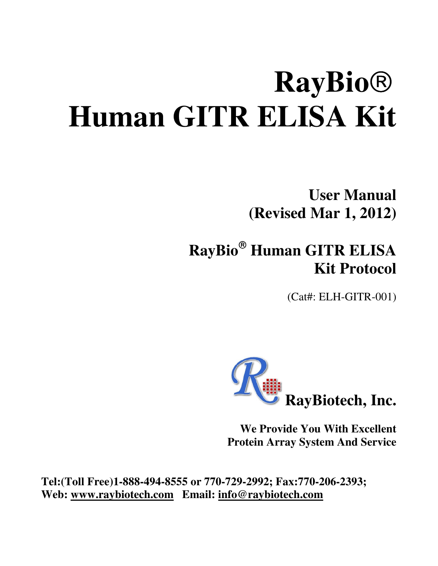# **RayBio Human GITR ELISA Kit**

**User Manual (Revised Mar 1, 2012)** 

# **RayBio Human GITR ELISA Kit Protocol**

(Cat#: ELH-GITR-001)



**We Provide You With Excellent Protein Array System And Service** 

**Tel:(Toll Free)1-888-494-8555 or 770-729-2992; Fax:770-206-2393; Web: www.raybiotech.com Email: info@raybiotech.com**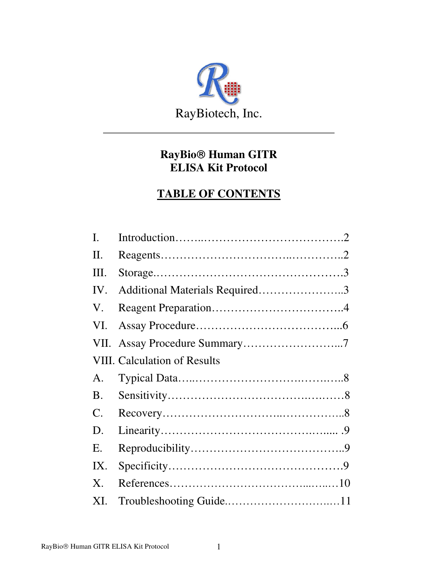

# **RayBio Human GITR ELISA Kit Protocol**

#### **TABLE OF CONTENTS**

| $\mathbf{I}$ .                      |                                |  |  |  |
|-------------------------------------|--------------------------------|--|--|--|
| II.                                 |                                |  |  |  |
| Ш.                                  |                                |  |  |  |
| IV.                                 | Additional Materials Required3 |  |  |  |
| V.                                  |                                |  |  |  |
| VI.                                 |                                |  |  |  |
|                                     |                                |  |  |  |
| <b>VIII.</b> Calculation of Results |                                |  |  |  |
| $\mathsf{A}$ .                      |                                |  |  |  |
| <b>B.</b>                           |                                |  |  |  |
|                                     |                                |  |  |  |
| $\mathbf{C}$ .                      |                                |  |  |  |
| D.                                  |                                |  |  |  |
| Ε.                                  |                                |  |  |  |
| IX.                                 |                                |  |  |  |
| $X_{\cdot}$                         |                                |  |  |  |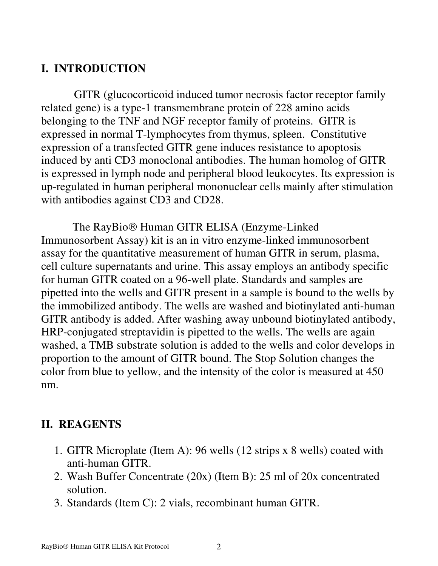# **I. INTRODUCTION**

 GITR (glucocorticoid induced tumor necrosis factor receptor family related gene) is a type-1 transmembrane protein of 228 amino acids belonging to the TNF and NGF receptor family of proteins. GITR is expressed in normal T-lymphocytes from thymus, spleen. Constitutive expression of a transfected GITR gene induces resistance to apoptosis induced by anti CD3 monoclonal antibodies. The human homolog of GITR is expressed in lymph node and peripheral blood leukocytes. Its expression is up-regulated in human peripheral mononuclear cells mainly after stimulation with antibodies against CD3 and CD28.

The RayBio<sup>®</sup> Human GITR ELISA (Enzyme-Linked Immunosorbent Assay) kit is an in vitro enzyme-linked immunosorbent assay for the quantitative measurement of human GITR in serum, plasma, cell culture supernatants and urine. This assay employs an antibody specific for human GITR coated on a 96-well plate. Standards and samples are pipetted into the wells and GITR present in a sample is bound to the wells by the immobilized antibody. The wells are washed and biotinylated anti-human GITR antibody is added. After washing away unbound biotinylated antibody, HRP-conjugated streptavidin is pipetted to the wells. The wells are again washed, a TMB substrate solution is added to the wells and color develops in proportion to the amount of GITR bound. The Stop Solution changes the color from blue to yellow, and the intensity of the color is measured at 450 nm.

#### **II. REAGENTS**

- 1. GITR Microplate (Item A): 96 wells (12 strips x 8 wells) coated with anti-human GITR.
- 2. Wash Buffer Concentrate (20x) (Item B): 25 ml of 20x concentrated solution.
- 3. Standards (Item C): 2 vials, recombinant human GITR.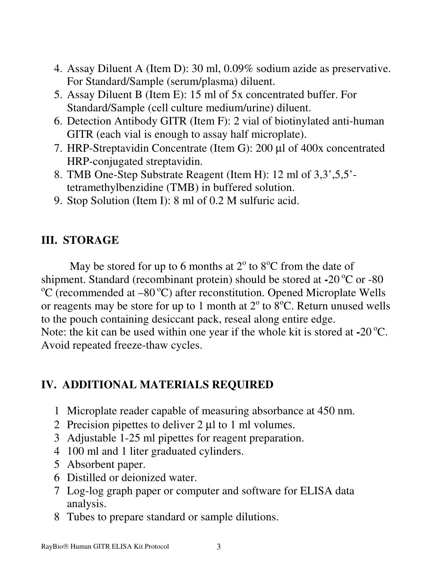- 4. Assay Diluent A (Item D): 30 ml, 0.09% sodium azide as preservative. For Standard/Sample (serum/plasma) diluent.
- 5. Assay Diluent B (Item E): 15 ml of 5x concentrated buffer. For Standard/Sample (cell culture medium/urine) diluent.
- 6. Detection Antibody GITR (Item F): 2 vial of biotinylated anti-human GITR (each vial is enough to assay half microplate).
- 7. HRP-Streptavidin Concentrate (Item G): 200 µl of 400x concentrated HRP-conjugated streptavidin.
- 8. TMB One-Step Substrate Reagent (Item H): 12 ml of 3,3',5,5' tetramethylbenzidine (TMB) in buffered solution.
- 9. Stop Solution (Item I): 8 ml of 0.2 M sulfuric acid.

# **III. STORAGE**

May be stored for up to 6 months at  $2^{\circ}$  to  $8^{\circ}$ C from the date of shipment. Standard (recombinant protein) should be stored at  $-20^{\circ}$ C or  $-80$  $\rm{^{\circ}C}$  (recommended at –80  $\rm{^{\circ}C}$ ) after reconstitution. Opened Microplate Wells or reagents may be store for up to 1 month at  $2^{\circ}$  to  $8^{\circ}$ C. Return unused wells to the pouch containing desiccant pack, reseal along entire edge. Note: the kit can be used within one year if the whole kit is stored at **-**20<sup>o</sup>C. Avoid repeated freeze-thaw cycles.

#### **IV. ADDITIONAL MATERIALS REQUIRED**

- 1 Microplate reader capable of measuring absorbance at 450 nm.
- 2 Precision pipettes to deliver 2 µl to 1 ml volumes.
- 3 Adjustable 1-25 ml pipettes for reagent preparation.
- 4 100 ml and 1 liter graduated cylinders.
- 5 Absorbent paper.
- 6 Distilled or deionized water.
- 7 Log-log graph paper or computer and software for ELISA data analysis.
- 8 Tubes to prepare standard or sample dilutions.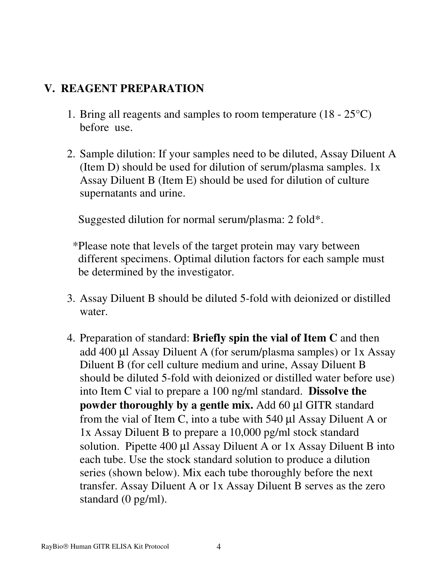#### **V. REAGENT PREPARATION**

- 1. Bring all reagents and samples to room temperature (18 25°C) before use.
- 2. Sample dilution: If your samples need to be diluted, Assay Diluent A (Item D) should be used for dilution of serum/plasma samples. 1x Assay Diluent B (Item E) should be used for dilution of culture supernatants and urine.

Suggested dilution for normal serum/plasma: 2 fold\*.

- \*Please note that levels of the target protein may vary between different specimens. Optimal dilution factors for each sample must be determined by the investigator.
- 3. Assay Diluent B should be diluted 5-fold with deionized or distilled water.
- 4. Preparation of standard: **Briefly spin the vial of Item C** and then add 400 µl Assay Diluent A (for serum/plasma samples) or 1x Assay Diluent B (for cell culture medium and urine, Assay Diluent B should be diluted 5-fold with deionized or distilled water before use) into Item C vial to prepare a 100 ng/ml standard. **Dissolve the powder thoroughly by a gentle mix.** Add 60 µl GITR standard from the vial of Item C, into a tube with 540 µl Assay Diluent A or 1x Assay Diluent B to prepare a 10,000 pg/ml stock standard solution. Pipette 400 µl Assay Diluent A or 1x Assay Diluent B into each tube. Use the stock standard solution to produce a dilution series (shown below). Mix each tube thoroughly before the next transfer. Assay Diluent A or 1x Assay Diluent B serves as the zero standard (0 pg/ml).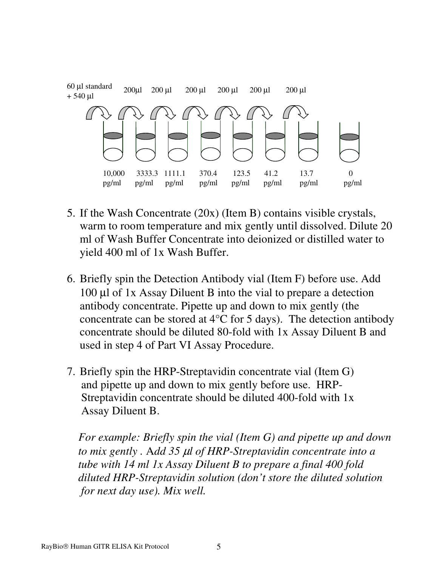

- 5. If the Wash Concentrate (20x) (Item B) contains visible crystals, warm to room temperature and mix gently until dissolved. Dilute 20 ml of Wash Buffer Concentrate into deionized or distilled water to yield 400 ml of 1x Wash Buffer.
- 6. Briefly spin the Detection Antibody vial (Item F) before use. Add 100 µl of 1x Assay Diluent B into the vial to prepare a detection antibody concentrate. Pipette up and down to mix gently (the concentrate can be stored at  $4^{\circ}$ C for 5 days). The detection antibody concentrate should be diluted 80-fold with 1x Assay Diluent B and used in step 4 of Part VI Assay Procedure.
- 7. Briefly spin the HRP-Streptavidin concentrate vial (Item G) and pipette up and down to mix gently before use. HRP- Streptavidin concentrate should be diluted 400-fold with 1x Assay Diluent B.

 *For example: Briefly spin the vial (Item G) and pipette up and down to mix gently .* A*dd 35* µ*l of HRP-Streptavidin concentrate into a tube with 14 ml 1x Assay Diluent B to prepare a final 400 fold diluted HRP-Streptavidin solution (don't store the diluted solution for next day use). Mix well.*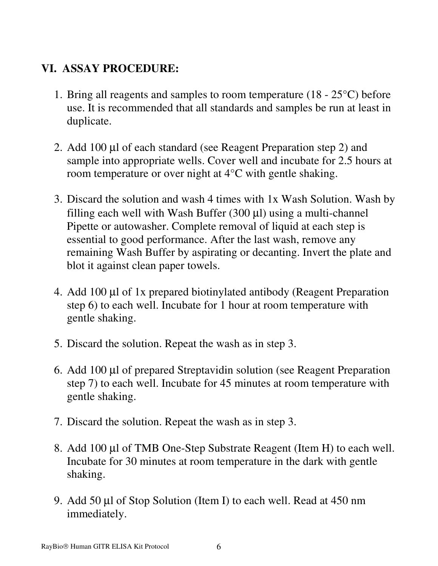# **VI. ASSAY PROCEDURE:**

- 1. Bring all reagents and samples to room temperature  $(18 25^{\circ}C)$  before use. It is recommended that all standards and samples be run at least in duplicate.
- 2. Add 100 µl of each standard (see Reagent Preparation step 2) and sample into appropriate wells. Cover well and incubate for 2.5 hours at room temperature or over night at 4°C with gentle shaking.
- 3. Discard the solution and wash 4 times with 1x Wash Solution. Wash by filling each well with Wash Buffer  $(300 \mu l)$  using a multi-channel Pipette or autowasher. Complete removal of liquid at each step is essential to good performance. After the last wash, remove any remaining Wash Buffer by aspirating or decanting. Invert the plate and blot it against clean paper towels.
- 4. Add 100 µl of 1x prepared biotinylated antibody (Reagent Preparation step 6) to each well. Incubate for 1 hour at room temperature with gentle shaking.
- 5. Discard the solution. Repeat the wash as in step 3.
- 6. Add 100 µl of prepared Streptavidin solution (see Reagent Preparation step 7) to each well. Incubate for 45 minutes at room temperature with gentle shaking.
- 7. Discard the solution. Repeat the wash as in step 3.
- 8. Add 100 µl of TMB One-Step Substrate Reagent (Item H) to each well. Incubate for 30 minutes at room temperature in the dark with gentle shaking.
- 9. Add 50 µl of Stop Solution (Item I) to each well. Read at 450 nm immediately.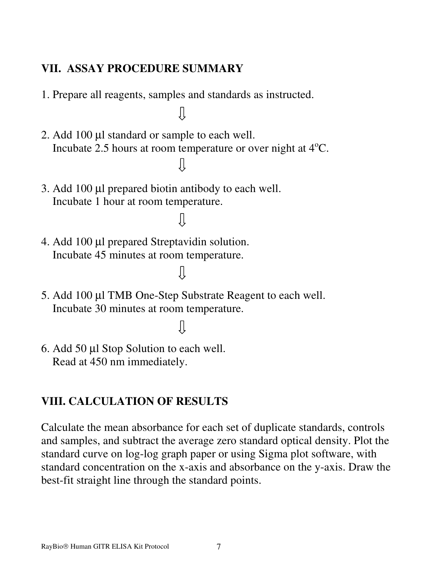#### **VII. ASSAY PROCEDURE SUMMARY**

1. Prepare all reagents, samples and standards as instructed.

JĻ

- 2. Add 100 µl standard or sample to each well. Incubate 2.5 hours at room temperature or over night at  $4^{\circ}C$ .  $\prod$
- 3. Add 100 µl prepared biotin antibody to each well. Incubate 1 hour at room temperature.
- 4. Add 100 µl prepared Streptavidin solution. Incubate 45 minutes at room temperature.
- 5. Add 100 µl TMB One-Step Substrate Reagent to each well. Incubate 30 minutes at room temperature.

JĻ

 $\prod$ 

JĻ

6. Add 50 µl Stop Solution to each well. Read at 450 nm immediately.

# **VIII. CALCULATION OF RESULTS**

Calculate the mean absorbance for each set of duplicate standards, controls and samples, and subtract the average zero standard optical density. Plot the standard curve on log-log graph paper or using Sigma plot software, with standard concentration on the x-axis and absorbance on the y-axis. Draw the best-fit straight line through the standard points.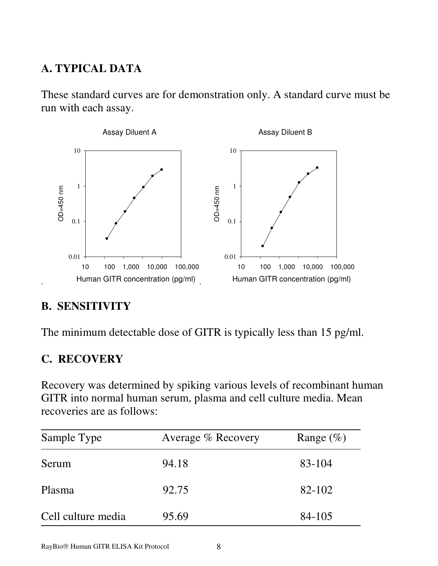# **A. TYPICAL DATA**

These standard curves are for demonstration only. A standard curve must be run with each assay.



#### **B. SENSITIVITY**

The minimum detectable dose of GITR is typically less than 15 pg/ml.

#### **C. RECOVERY**

Recovery was determined by spiking various levels of recombinant human GITR into normal human serum, plasma and cell culture media. Mean recoveries are as follows:

| Sample Type        | Average % Recovery | Range $(\%)$ |
|--------------------|--------------------|--------------|
| Serum              | 94.18              | 83-104       |
| Plasma             | 92.75              | 82-102       |
| Cell culture media | 95.69              | 84-105       |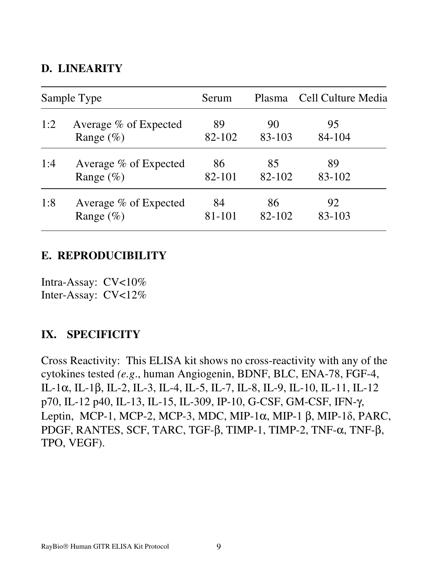#### **D. LINEARITY**

| Sample Type |                       | Serum  | Plasma | Cell Culture Media |
|-------------|-----------------------|--------|--------|--------------------|
| 1:2         | Average % of Expected | 89     | 90     | 95                 |
|             | Range $(\% )$         | 82-102 | 83-103 | 84-104             |
| 1:4         | Average % of Expected | 86     | 85     | 89                 |
|             | Range $(\% )$         | 82-101 | 82-102 | 83-102             |
| 1:8         | Average % of Expected | 84     | 86     | 92                 |
|             | Range $(\%)$          | 81-101 | 82-102 | 83-103             |

#### **E. REPRODUCIBILITY**

Intra-Assay: CV<10% Inter-Assay: CV<12%

#### **IX. SPECIFICITY**

Cross Reactivity: This ELISA kit shows no cross-reactivity with any of the cytokines tested *(e.g*., human Angiogenin, BDNF, BLC, ENA-78, FGF-4, IL-1α, IL-1β, IL-2, IL-3, IL-4, IL-5, IL-7, IL-8, IL-9, IL-10, IL-11, IL-12 p70, IL-12 p40, IL-13, IL-15, IL-309, IP-10, G-CSF, GM-CSF, IFN-γ, Leptin, MCP-1, MCP-2, MCP-3, MDC, MIP-1 $\alpha$ , MIP-1 $\beta$ , MIP-1 $\delta$ , PARC, PDGF, RANTES, SCF, TARC, TGF-β, TIMP-1, TIMP-2, TNF-α, TNF-β, TPO, VEGF).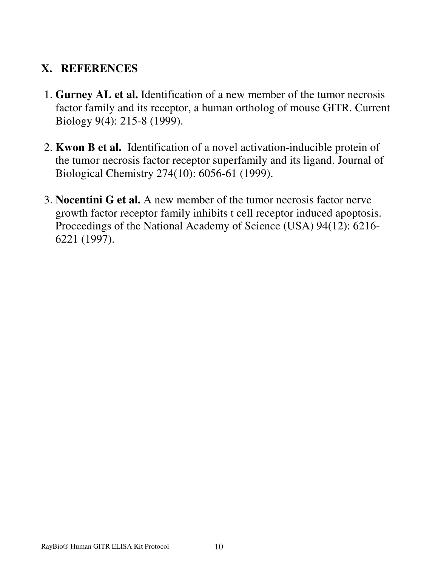# **X. REFERENCES**

- 1. **Gurney AL et al.** Identification of a new member of the tumor necrosis factor family and its receptor, a human ortholog of mouse GITR. Current Biology 9(4): 215-8 (1999).
- 2. **Kwon B et al.** Identification of a novel activation-inducible protein of the tumor necrosis factor receptor superfamily and its ligand. Journal of Biological Chemistry 274(10): 6056-61 (1999).
- 3. **Nocentini G et al.** A new member of the tumor necrosis factor nerve growth factor receptor family inhibits t cell receptor induced apoptosis. Proceedings of the National Academy of Science (USA) 94(12): 6216- 6221 (1997).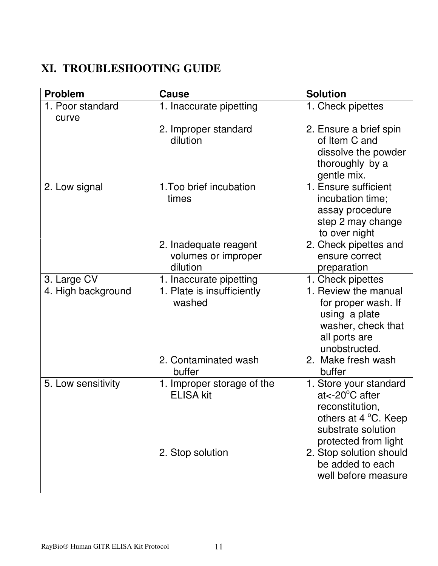# **XI. TROUBLESHOOTING GUIDE**

| <b>Problem</b>            | Cause                                                    | <b>Solution</b>                                                                                                                               |
|---------------------------|----------------------------------------------------------|-----------------------------------------------------------------------------------------------------------------------------------------------|
| 1. Poor standard<br>curve | 1. Inaccurate pipetting                                  | 1. Check pipettes                                                                                                                             |
|                           | 2. Improper standard<br>dilution                         | 2. Ensure a brief spin<br>of Item C and<br>dissolve the powder<br>thoroughly by a<br>gentle mix.                                              |
| 2. Low signal             | 1. Too brief incubation<br>times                         | 1. Ensure sufficient<br>incubation time;<br>assay procedure<br>step 2 may change<br>to over night                                             |
|                           | 2. Inadequate reagent<br>volumes or improper<br>dilution | 2. Check pipettes and<br>ensure correct<br>preparation                                                                                        |
| 3. Large CV               | 1. Inaccurate pipetting                                  | 1. Check pipettes                                                                                                                             |
| 4. High background        | 1. Plate is insufficiently<br>washed                     | 1. Review the manual<br>for proper wash. If<br>using a plate<br>washer, check that<br>all ports are<br>unobstructed.                          |
|                           | 2. Contaminated wash<br>buffer                           | 2. Make fresh wash<br>buffer                                                                                                                  |
| 5. Low sensitivity        | 1. Improper storage of the<br><b>ELISA kit</b>           | 1. Store your standard<br>$at < -20^{\circ}$ C after<br>reconstitution,<br>others at 4 °C. Keep<br>substrate solution<br>protected from light |
|                           | 2. Stop solution                                         | 2. Stop solution should<br>be added to each<br>well before measure                                                                            |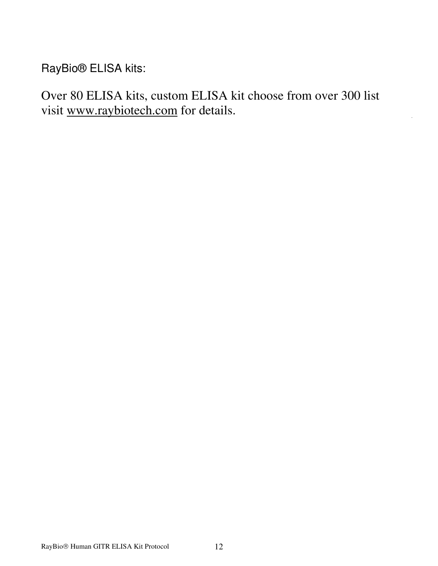RayBio® ELISA kits:

Over 80 ELISA kits, custom ELISA kit choose from over 300 list visit www.raybiotech.com for details.